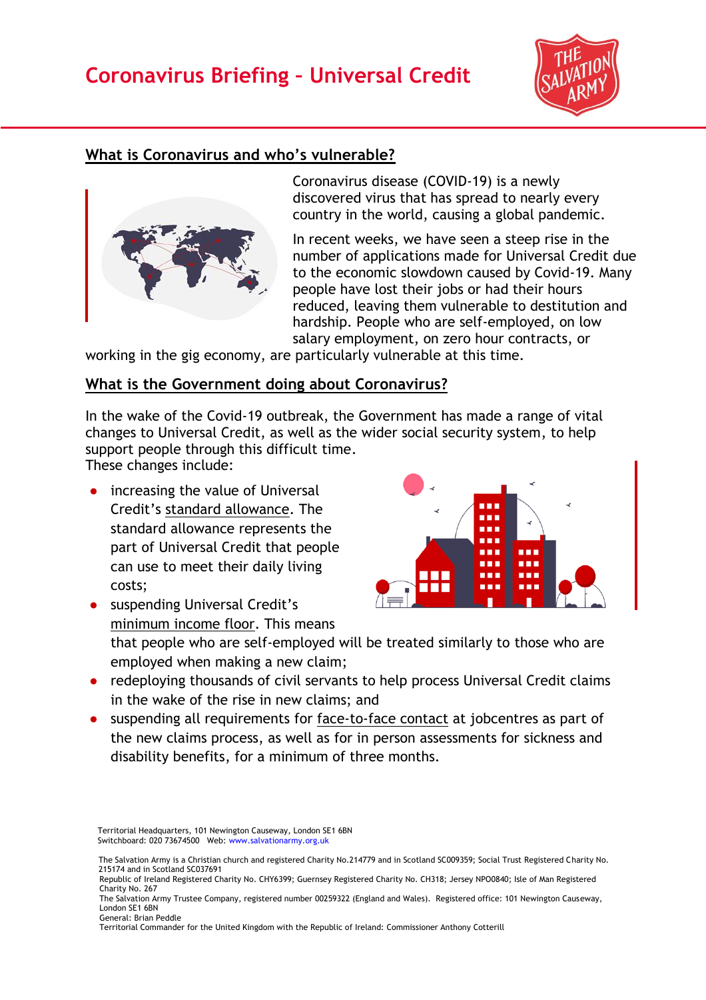# **Coronavirus Briefing – Universal Credit**



### **What is Coronavirus and who's vulnerable?**



Coronavirus disease (COVID-19) is a newly discovered virus that has spread to nearly every country in the world, causing a global pandemic.

In recent weeks, we have seen a steep rise in the number of applications made for Universal Credit due to the economic slowdown caused by Covid-19. Many people have lost their jobs or had their hours reduced, leaving them vulnerable to destitution and hardship. People who are self-employed, on low salary employment, on zero hour contracts, or

working in the gig economy, are particularly vulnerable at this time.

#### **What is the Government doing about Coronavirus?**

In the wake of the Covid-19 outbreak, the Government has made a range of vital changes to Universal Credit, as well as the wider social security system, to help support people through this difficult time.

These changes include:

● increasing the value of Universal Credit's [standard allowance.](https://www.understandinguniversalcredit.gov.uk/new-to-universal-credit/how-much-youll-get/#what-makes-up-your-payment) The standard allowance represents the part of Universal Credit that people can use to meet their daily living costs;



- suspending Universal Credit's [minimum income floor.](https://www.understandinguniversalcredit.gov.uk/new-to-universal-credit/self-employment/) This means that people who are self-employed will be treated similarly to those who are employed when making a new claim;
- redeploying thousands of civil servants to help process Universal Credit claims in the wake of the rise in new claims; and
- suspending all requirements for [face-to-face contact](https://www.understandinguniversalcredit.gov.uk/coronavirus/) at jobcentres as part of the new claims process, as well as for in person assessments for sickness and disability benefits, for a minimum of three months.

Territorial Headquarters, 101 Newington Causeway, London SE1 6BN Switchboard: 020 73674500 Web: [www.salvationarmy.org.uk](http://www.salvationarmy.org.uk/)

The Salvation Army is a Christian church and registered Charity No.214779 and in Scotland SC009359; Social Trust Registered Charity No. 215174 and in Scotland SC037691

Republic of Ireland Registered Charity No. CHY6399; Guernsey Registered Charity No. CH318; Jersey NPO0840; Isle of Man Registered Charity No. 267

The Salvation Army Trustee Company, registered number 00259322 (England and Wales). Registered office: 101 Newington Causeway, London SE1 6BN General: Brian Peddle

Territorial Commander for the United Kingdom with the Republic of Ireland: Commissioner Anthony Cotterill